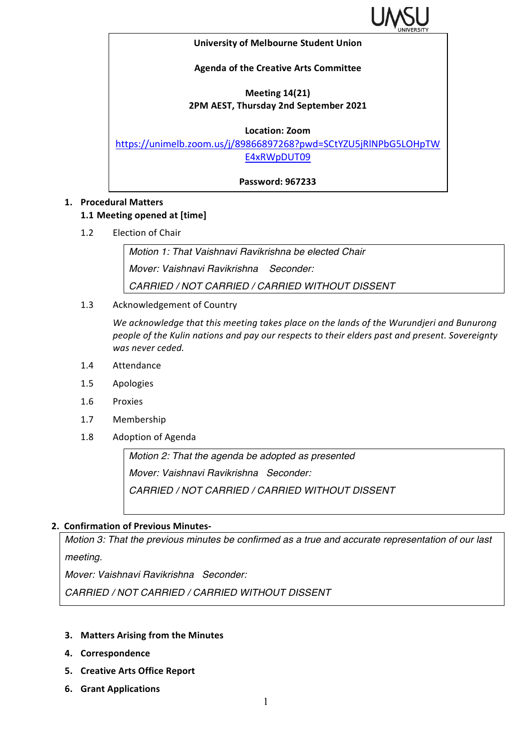

#### **University of Melbourne Student Union**

## **Agenda of the Creative Arts Committee**

# **Meeting 14(21) 2PM AEST, Thursday 2nd September 2021**

### **Location: Zoom**

https://unimelb.zoom.us/j/89866897268?pwd=SCtYZU5jRlNPbG5LOHpTW E4xRWpDUT09

**Password: 967233**

## **1. Procedural Matters**

## **1.1 Meeting opened at [time]**

1.2 Election of Chair

*Motion 1: That Vaishnavi Ravikrishna be elected Chair Mover: Vaishnavi Ravikrishna Seconder: CARRIED / NOT CARRIED / CARRIED WITHOUT DISSENT*

1.3 Acknowledgement of Country

We acknowledge that this meeting takes place on the lands of the Wurundjeri and Bunurong people of the Kulin nations and pay our respects to their elders past and present. Sovereignty was never ceded.

- 1.4 Attendance
- 1.5 Apologies
- 1.6 Proxies
- 1.7 Membership
- 1.8 Adoption of Agenda

*Motion 2: That the agenda be adopted as presented Mover: Vaishnavi Ravikrishna Seconder: CARRIED / NOT CARRIED / CARRIED WITHOUT DISSENT*

## **2. Confirmation of Previous Minutes-**

*Motion 3: That the previous minutes be confirmed as a true and accurate representation of our last meeting.*

*Mover: Vaishnavi Ravikrishna Seconder:* 

*CARRIED / NOT CARRIED / CARRIED WITHOUT DISSENT*

- **3.** Matters Arising from the Minutes
- **4. Correspondence**
- **5. Creative Arts Office Report**
- **6. Grant Applications**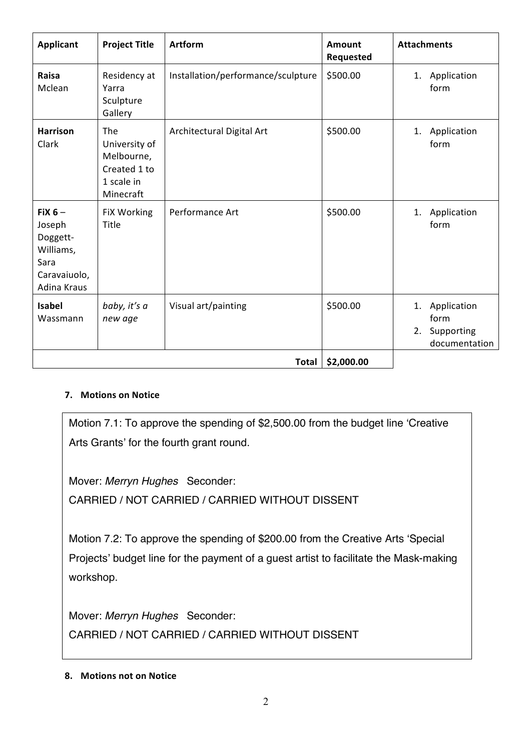| <b>Applicant</b>                                                                   | <b>Project Title</b>                                                          | <b>Artform</b>                     | Amount<br>Requested | <b>Attachments</b>                                       |
|------------------------------------------------------------------------------------|-------------------------------------------------------------------------------|------------------------------------|---------------------|----------------------------------------------------------|
| Raisa<br>Mclean                                                                    | Residency at<br>Yarra<br>Sculpture<br>Gallery                                 | Installation/performance/sculpture | \$500.00            | 1. Application<br>form                                   |
| <b>Harrison</b><br>Clark                                                           | The<br>University of<br>Melbourne,<br>Created 1 to<br>1 scale in<br>Minecraft | Architectural Digital Art          | \$500.00            | 1. Application<br>form                                   |
| FiX $6-$<br>Joseph<br>Doggett-<br>Williams,<br>Sara<br>Caravaiuolo,<br>Adina Kraus | <b>FiX Working</b><br>Title                                                   | Performance Art                    | \$500.00            | 1. Application<br>form                                   |
| <b>Isabel</b><br>Wassmann                                                          | baby, it's a<br>new age                                                       | Visual art/painting                | \$500.00            | 1. Application<br>form<br>2. Supporting<br>documentation |
| \$2,000.00<br><b>Total</b>                                                         |                                                                               |                                    |                     |                                                          |

# **7.** Motions on Notice

Motion 7.1: To approve the spending of \$2,500.00 from the budget line 'Creative Arts Grants' for the fourth grant round.

Mover: *Merryn Hughes* Seconder: CARRIED / NOT CARRIED / CARRIED WITHOUT DISSENT

Motion 7.2: To approve the spending of \$200.00 from the Creative Arts 'Special Projects' budget line for the payment of a guest artist to facilitate the Mask-making workshop.

Mover: *Merryn Hughes* Seconder: CARRIED / NOT CARRIED / CARRIED WITHOUT DISSENT

**8.** Motions not on Notice